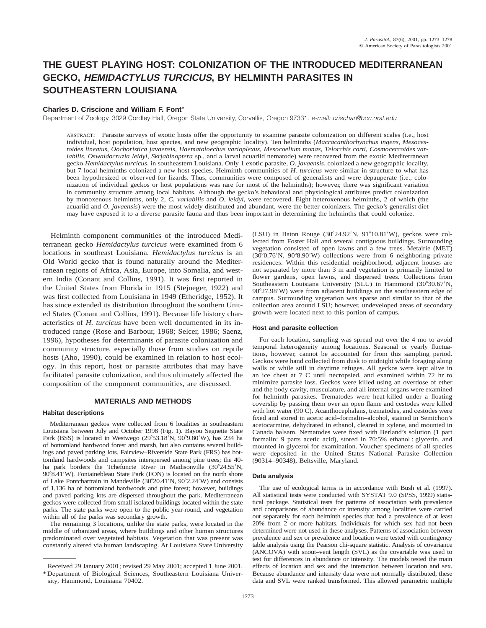# **THE GUEST PLAYING HOST: COLONIZATION OF THE INTRODUCED MEDITERRANEAN GECKO, HEMIDACTYLUS TURCICUS, BY HELMINTH PARASITES IN SOUTHEASTERN LOUISIANA**

# **Charles D. Criscione and William F. Font**\*

Department of Zoology, 3029 Cordley Hall, Oregon State University, Corvallis, Oregon 97331. e-mail: crischar@bcc.orst.edu

ABSTRACT: Parasite surveys of exotic hosts offer the opportunity to examine parasite colonization on different scales (i.e., host individual, host population, host species, and new geographic locality). Ten helminths (*Macracanthorhynchus ingens*, *Mesocestoides lineatus*, *Oochoristica javaensis*, *Haematoloechus varioplexus*, *Mesocoelium monas*, *Telorchis corti*, *Cosmocercoides variabilis*, *Oswaldocruzia leidyi*, *Skrjabinoptera* sp., and a larval acuariid nematode) were recovered from the exotic Mediterranean gecko *Hemidactylus turcicus*, in southeastern Louisiana. Only 1 exotic parasite, *O. javaensis*, colonized a new geographic locality, but 7 local helminths colonized a new host species. Helminth communities of *H. turcicus* were similar in structure to what has been hypothesized or observed for lizards. Thus, communities were composed of generalists and were depauperate (i.e., colonization of individual geckos or host populations was rare for most of the helminths); however, there was significant variation in community structure among local habitats. Although the gecko's behavioral and physiological attributes predict colonization by monoxenous helminths, only 2, *C. variabilis* and *O. leidyi*, were recovered. Eight heteroxenous helminths, 2 of which (the acuariid and *O. javaensis*) were the most widely distributed and abundant, were the better colonizers. The gecko's generalist diet may have exposed it to a diverse parasite fauna and thus been important in determining the helminths that could colonize.

Helminth component communities of the introduced Mediterranean gecko *Hemidactylus turcicus* were examined from 6 locations in southeast Louisiana. *Hemidactylus turcicus* is an Old World gecko that is found naturally around the Mediterranean regions of Africa, Asia, Europe, into Somalia, and western India (Conant and Collins, 1991). It was first reported in the United States from Florida in 1915 (Stejneger, 1922) and was first collected from Louisiana in 1949 (Etheridge, 1952). It has since extended its distribution throughout the southern United States (Conant and Collins, 1991). Because life history characteristics of *H. turcicus* have been well documented in its introduced range (Rose and Barbour, 1968; Selcer, 1986; Saenz, 1996), hypotheses for determinants of parasite colonization and community structure, especially those from studies on reptile hosts (Aho, 1990), could be examined in relation to host ecology. In this report, host or parasite attributes that may have facilitated parasite colonization, and thus ultimately affected the composition of the component communities, are discussed.

## **MATERIALS AND METHODS**

### **Habitat descriptions**

Mediterranean geckos were collected from 6 localities in southeastern Louisiana between July and October 1998 (Fig. 1). Bayou Segnette State Park (BSS) is located in Westwego (29°53.18'N, 90°9.80'W), has 234 ha of bottomland hardwood forest and marsh, but also contains several buildings and paved parking lots. Fairview–Riverside State Park (FRS) has bottomland hardwoods and campsites interspersed among pine trees; the 40 ha park borders the Tchefuncte River in Madisonville (30°24.55'N, 90°8.41'W). Fontainebleau State Park (FON) is located on the north shore of Lake Pontchartrain in Mandeville (30°20.41'N, 90°2.24'W) and consists of 1,136 ha of bottomland hardwoods and pine forest; however, buildings and paved parking lots are dispersed throughout the park. Mediterranean geckos were collected from small isolated buildings located within the state parks. The state parks were open to the public year-round, and vegetation within all of the parks was secondary growth.

The remaining 3 locations, unlike the state parks, were located in the middle of urbanized areas, where buildings and other human structures predominated over vegetated habitats. Vegetation that was present was constantly altered via human landscaping. At Louisiana State University

**Host and parasite collection** For each location, sampling was spread out over the 4 mo to avoid temporal heterogeneity among locations. Seasonal or yearly fluctuations, however, cannot be accounted for from this sampling period. Geckos were hand collected from dusk to midnight while foraging along walls or while still in daytime refuges. All geckos were kept alive in an ice chest at 7 C until necropsied, and examined within 72 hr to minimize parasite loss. Geckos were killed using an overdose of ether

growth were located next to this portion of campus.

(LSU) in Baton Rouge (30°24.92'N, 91°10.81'W), geckos were collected from Foster Hall and several contiguous buildings. Surrounding vegetation consisted of open lawns and a few trees. Metairie (MET)  $(30^{\circ}0.76^{\prime}N, 90^{\circ}8.90^{\prime}W)$  collections were from 6 neighboring private residences. Within this residential neighborhood, adjacent houses are not separated by more than 3 m and vegetation is primarily limited to flower gardens, open lawns, and dispersed trees. Collections from Southeastern Louisiana University (SLU) in Hammond (30°30.67'N,  $90^{\circ}$ 27.98'W) were from adjacent buildings on the southeastern edge of campus. Surrounding vegetation was sparse and similar to that of the collection area around LSU; however, undeveloped areas of secondary

and the body cavity, musculature, and all internal organs were examined for helminth parasites. Trematodes were heat-killed under a floating coverslip by passing them over an open flame and cestodes were killed with hot water (90 C). Acanthocephalans, trematodes, and cestodes were fixed and stored in acetic acid–formalin–alcohol, stained in Semichon's acetocarmine, dehydrated in ethanol, cleared in xylene, and mounted in Canada balsam. Nematodes were fixed with Berland's solution (1 part formalin: 9 parts acetic acid), stored in 70:5% ethanol : glycerin, and mounted in glycerol for examination. Voucher specimens of all species were deposited in the United States National Parasite Collection (90314–90348), Beltsville, Maryland.

#### **Data analysis**

The use of ecological terms is in accordance with Bush et al. (1997). All statistical tests were conducted with SYSTAT 9.0 (SPSS, 1999) statistical package. Statistical tests for patterns of association with prevalence and comparisons of abundance or intensity among localities were carried out separately for each helminth species that had a prevalence of at least 20% from 2 or more habitats. Individuals for which sex had not been determined were not used in these analyses. Patterns of association between prevalence and sex or prevalence and location were tested with contingency table analysis using the Pearson chi-square statistic. Analysis of covariance (ANCOVA) with snout–vent length (SVL) as the covariable was used to test for differences in abundance or intensity. The models tested the main effects of location and sex and the interaction between location and sex. Because abundance and intensity data were not normally distributed, these data and SVL were ranked transformed. This allowed parametric multiple

Received 29 January 2001; revised 29 May 2001; accepted 1 June 2001. \* Department of Biological Sciences, Southeastern Louisiana University, Hammond, Louisiana 70402.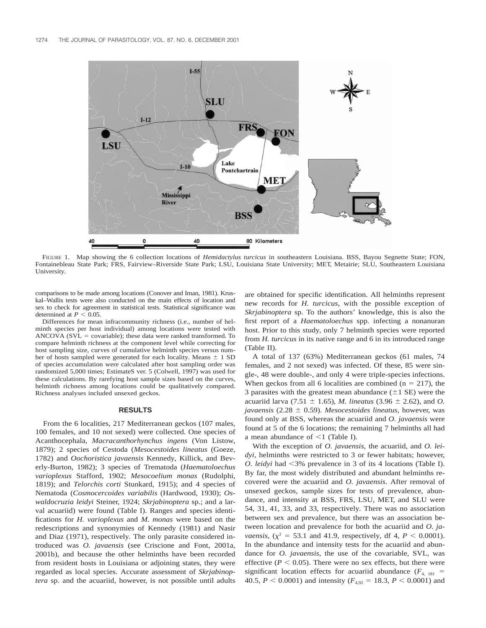

FIGURE 1. Map showing the 6 collection locations of *Hemidactylus turcicus* in southeastern Louisiana. BSS, Bayou Segnette State; FON, Fontainebleau State Park; FRS, Fairview–Riverside State Park; LSU, Louisiana State University; MET, Metairie; SLU, Southeastern Louisiana University.

comparisons to be made among locations (Conover and Iman, 1981). Kruskal–Wallis tests were also conducted on the main effects of location and sex to check for agreement in statistical tests. Statistical significance was determined at  $P < 0.05$ .

Differences for mean infracommunity richness (i.e., number of helminth species per host individual) among locations were tested with ANCOVA ( $SVL = covariate$ ); these data were ranked transformed. To compare helminth richness at the component level while correcting for host sampling size, curves of cumulative helminth species versus number of hosts sampled were generated for each locality. Means  $\pm$  1 SD of species accumulation were calculated after host sampling order was randomized 5,000 times; EstimateS ver. 5 (Colwell, 1997) was used for these calculations. By rarefying host sample sizes based on the curves, helminth richness among locations could be qualitatively compared. Richness analyses included unsexed geckos.

## **RESULTS**

From the 6 localities, 217 Mediterranean geckos (107 males, 100 females, and 10 not sexed) were collected. One species of Acanthocephala, *Macracanthorhynchus ingens* (Von Listow, 1879); 2 species of Cestoda (*Mesocestoides lineatus* (Goeze, 1782) and *Oochoristica javaensis* Kennedy, Killick, and Beverly-Burton, 1982); 3 species of Trematoda (*Haematoloechus varioplexus* Stafford, 1902; *Mesocoelium monas* (Rudolphi, 1819); and *Telorchis corti* Stunkard, 1915); and 4 species of Nematoda (*Cosmocercoides variabilis* (Hardwood, 1930); *Oswaldocruzia leidyi* Steiner, 1924; *Skrjabinoptera* sp.; and a larval acuariid) were found (Table I). Ranges and species identifications for *H. varioplexus* and *M. monas* were based on the redescriptions and synonymies of Kennedy (1981) and Nasir and Diaz (1971), respectively. The only parasite considered introduced was *O. javaensis* (see Criscione and Font, 2001a, 2001b), and because the other helminths have been recorded from resident hosts in Louisiana or adjoining states, they were regarded as local species. Accurate assessment of *Skrjabinoptera* sp. and the acuariid, however, is not possible until adults

are obtained for specific identification. All helminths represent new records for *H. turcicus*, with the possible exception of *Skrjabinoptera* sp. To the authors' knowledge, this is also the first report of a *Haematoloechus* spp. infecting a nonanuran host. Prior to this study, only 7 helminth species were reported from *H. turcicus* in its native range and 6 in its introduced range (Table II).

A total of 137 (63%) Mediterranean geckos (61 males, 74 females, and 2 not sexed) was infected. Of these, 85 were single-, 48 were double-, and only 4 were triple-species infections. When geckos from all 6 localities are combined ( $n = 217$ ), the 3 parasites with the greatest mean abundance  $(\pm 1 \text{ SE})$  were the acuariid larva (7.51  $\pm$  1.65), *M. lineatus* (3.96  $\pm$  2.62), and *O.*  $javaensis$  (2.28  $\pm$  0.59). *Mesocestoides lineatus*, however, was found only at BSS, whereas the acuariid and *O. javaensis* were found at 5 of the 6 locations; the remaining 7 helminths all had a mean abundance of  $\leq 1$  (Table I).

With the exception of *O. javaensis*, the acuariid, and *O. leidyi*, helminths were restricted to 3 or fewer habitats; however, *O. leidyi* had <3% prevalence in 3 of its 4 locations (Table I). By far, the most widely distributed and abundant helminths recovered were the acuariid and *O. javaensis*. After removal of unsexed geckos, sample sizes for tests of prevalence, abundance, and intensity at BSS, FRS, LSU, MET, and SLU were 54, 31, 41, 33, and 33, respectively. There was no association between sex and prevalence, but there was an association between location and prevalence for both the acuariid and *O. javaensis*, ( $\chi^2$  = 53.1 and 41.9, respectively, df 4, *P* < 0.0001). In the abundance and intensity tests for the acuariid and abundance for *O. javaensis*, the use of the covariable, SVL, was effective ( $P < 0.05$ ). There were no sex effects, but there were significant location effects for acuariid abundance  $(F_{4, 181}$  = 40.5,  $P < 0.0001$ ) and intensity ( $F_{4.92} = 18.3$ ,  $P < 0.0001$ ) and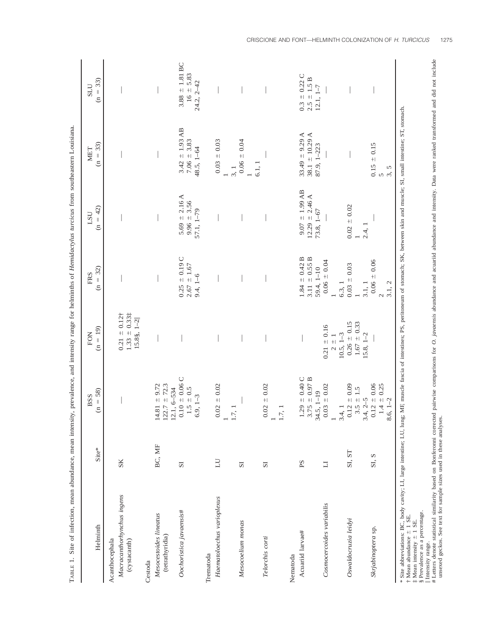| Helminth                                                                                          | Site*                             | $(n = 58)$<br><b>BSS</b>                                                                               | $(n = 19)$<br>FON                                    | $(n = 32)$<br><b>FRS</b>                           | $(n = 42)$<br>LSU                                                                                                          | $(n = 33)$<br><b>MET</b>                            | $(n = 33)$<br><b>SLU</b>                          |
|---------------------------------------------------------------------------------------------------|-----------------------------------|--------------------------------------------------------------------------------------------------------|------------------------------------------------------|----------------------------------------------------|----------------------------------------------------------------------------------------------------------------------------|-----------------------------------------------------|---------------------------------------------------|
| Macracanthorhynchus ingens<br>Acanthocephala<br>(cystacanth)                                      | SK                                |                                                                                                        | $0.21 \pm 0.12$ †<br>$1.33 \pm 0.33$<br>$15.88, 1-2$ |                                                    |                                                                                                                            |                                                     |                                                   |
| Mesocestoides lineatus<br>(tetrathyridia)<br>Cestoda                                              | BC, MF                            |                                                                                                        |                                                      |                                                    |                                                                                                                            |                                                     |                                                   |
| Oochoristica javaensis#                                                                           | $\overline{\text{S}}$             | 14.81 ± 9.72<br>122.7 ± 72.3<br>12.1, 6–534<br>12.1, 6–534<br>0.10 ± 0.06 C<br>1.5 ± 0.5<br>$6.9, 1-3$ |                                                      | $0.25 \pm 0.19$ C<br>$2.67 \pm 1.67$<br>9.4, $1-6$ | 5.69 $\pm$ 2.16 A<br>$9.96 \pm 3.56$<br>57.1, 1-79                                                                         | $3.42 \pm 1.93$ AB<br>$7.06 \pm 3.83$<br>48.5, 1-64 | $3.88 \pm 1.81$ BC<br>$16 \pm 5.83$<br>24.2, 2-42 |
| Haematoloechus varioplexus<br>Trematoda                                                           | $\overline{\mathrm{L}}\mathrm{U}$ | $0.02 \pm 0.02$                                                                                        |                                                      |                                                    |                                                                                                                            | $0.03 \pm 0.03$                                     |                                                   |
| Mesocoelium monas                                                                                 | $\overline{\text{S}}$             | 1.7, 1                                                                                                 |                                                      |                                                    |                                                                                                                            | $0.06 = 0.04$<br>3, 1                               |                                                   |
| Telorchis corti                                                                                   | $\overline{\text{S}}$             | $0.02 \pm 0.02$                                                                                        |                                                      |                                                    |                                                                                                                            | $6.1, 1$                                            |                                                   |
|                                                                                                   |                                   | 1.7, 1                                                                                                 |                                                      |                                                    |                                                                                                                            |                                                     |                                                   |
| Acuariid larvae#<br>Nematoda                                                                      | PS                                | $1.29 \pm 0.40 \text{ C}$<br>$3.75 \pm 0.97 \text{ B}$<br>$34.5, 1-19$<br>$0.03 \pm 0.02$              |                                                      | 3.11 $\pm$ 0.55 B<br>$1.84 \pm 0.42 B$             | $9.07 \pm 1.99$ AB<br>$12.29 \pm 2.46$ A                                                                                   | 33.49 $\pm$ 9.29 A<br>38.1 $\pm$ 10.29 A            | $0.3 \pm 0.22$ C<br>$2.5 \pm 1.5 B$               |
| Cosmocercoides variabilis                                                                         | $\Box$                            | $\overline{a}$                                                                                         | $0.21 \pm 0.16$<br>$2 \pm 1$                         | $0.06 \pm 0.04$<br>59.4, 1-10                      | 73.8, 1-67                                                                                                                 | 87.9, 1-223                                         | $12.1, 1-7$                                       |
| Oswaldocruzia leidyi                                                                              | SI, ST                            | $3.4, 1$<br>0.12 ± 0.09<br>3.5 ± 1.5                                                                   | $0.26 \pm 0.15$<br>$1.67 \pm 0.33$<br>$10.5, 1-3$    | $0.03 \pm 0.03$<br>6.3, 1                          | $0.02 \pm 0.02$                                                                                                            |                                                     |                                                   |
| Skrjabinoptera sp.                                                                                | SI, S                             | $0.12 \pm 0.06$<br>$1.4 \pm 0.25$<br>8.6, 1-2<br>$3.4, 2-5$                                            | $5.8, 1-2$                                           | $0.06 \pm 0.06$<br>3.1, 1<br>3.1, 2                | 2.4, 1                                                                                                                     | $0.15 \pm 0.15$<br>5, 5                             |                                                   |
| * Site abbreviations: BC, body cavity; LI, large intestine; LU, lung;<br>† Mean abundance ± 1 SE. |                                   |                                                                                                        |                                                      |                                                    | MH, muscle fascia of intestines; PS, peritoneum of stomach; SK, between skin and muscle; SI, small intestine; ST, stomach. |                                                     |                                                   |

 $\ddagger$  Mean intensity  $\pm$  1 SE.

§ Prevalence as a percentage.

Intensity range.

t Mean intensity - 1 - 2 - 2<br>8 Prevalence as a percentage.<br>8 Tevalence as a percentage.<br>#Letters denote statistical similarity based on Bonferomi corrected pairwise compatisons for *O. janaensis* abundance and acuariid abu # Letters denote statistical similarity based on Bonferonni corrected pairwise comparisons for O. javaensis abundance and abundance and intensity. Data were ranked transformed and did not include unsexed geckos. See text for sample sizes used in these analyses.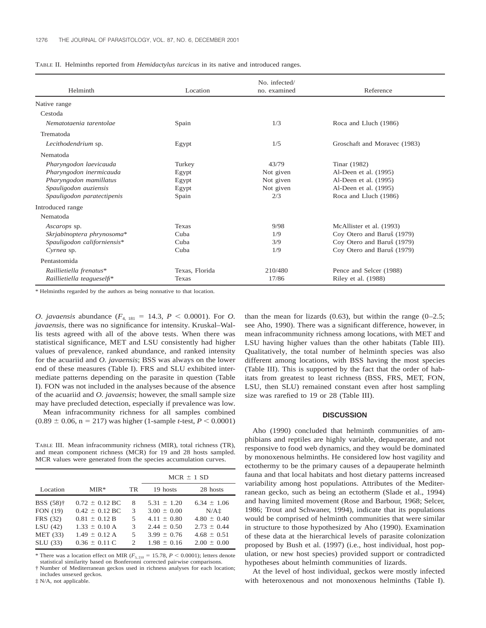|  |  |  |  |  |  |  | TABLE II. Helminths reported from <i>Hemidactylus turcicus</i> in its native and introduced ranges. |
|--|--|--|--|--|--|--|-----------------------------------------------------------------------------------------------------|
|--|--|--|--|--|--|--|-----------------------------------------------------------------------------------------------------|

| Helminth                    | Location       | No. infected/<br>no. examined | Reference                    |
|-----------------------------|----------------|-------------------------------|------------------------------|
| Native range                |                |                               |                              |
| Cestoda                     |                |                               |                              |
| Nematotaenia tarentolae     | Spain          | 1/3                           | Roca and Lluch (1986)        |
| Trematoda                   |                |                               |                              |
| Lecithodendrium sp.         | Egypt          | 1/5                           | Groschaft and Moravec (1983) |
| Nematoda                    |                |                               |                              |
| Pharyngodon laevicauda      | Turkey         | 43/79                         | Tinar (1982)                 |
| Pharyngodon inermicauda     | Egypt          | Not given                     | Al-Deen et al. (1995)        |
| Pharyngodon mamillatus      | Egypt          | Not given                     | Al-Deen et al. (1995)        |
| Spauligodon auziensis       | Egypt          | Not given                     | Al-Deen et al. (1995)        |
| Spauligodon paratectipenis  | Spain          | 2/3                           | Roca and Lluch (1986)        |
| Introduced range            |                |                               |                              |
| Nematoda                    |                |                               |                              |
| Ascarops sp.                | Texas          | 9/98                          | McAllister et al. (1993)     |
| Skrjabinoptera phrynosoma*  | Cuba           | 1/9                           | Coy Otero and Baruŝ (1979)   |
| Spauligodon californiensis* | Cuba           | 3/9                           | Coy Otero and Baruŝ (1979)   |
| Cyrnea sp.                  | Cuba           | 1/9                           | Coy Otero and Baruŝ (1979)   |
| Pentastomida                |                |                               |                              |
| Raillietiella frenatus*     | Texas, Florida | 210/480                       | Pence and Selcer (1988)      |
| Raillietiella teagueselfi*  | Texas          | 17/86                         | Riley et al. (1988)          |

\* Helminths regarded by the authors as being nonnative to that location.

*O. javaensis* abundance  $(F_{4, 181} = 14.3, P \le 0.0001)$ . For *O. javaensis*, there was no significance for intensity. Kruskal–Wallis tests agreed with all of the above tests. When there was statistical significance, MET and LSU consistently had higher values of prevalence, ranked abundance, and ranked intensity for the acuariid and *O. javaensis*; BSS was always on the lower end of these measures (Table I). FRS and SLU exhibited intermediate patterns depending on the parasite in question (Table I). FON was not included in the analyses because of the absence of the acuariid and *O. javaensis*; however, the small sample size may have precluded detection, especially if prevalence was low.

Mean infracommunity richness for all samples combined  $(0.89 \pm 0.06, n = 217)$  was higher (1-sample *t*-test,  $P < 0.0001$ )

TABLE III. Mean infracommunity richness (MIR), total richness (TR), and mean component richness (MCR) for 19 and 28 hosts sampled. MCR values were generated from the species accumulation curves.

|                       |                    |                |                 | $MCR \pm 1 SD$   |
|-----------------------|--------------------|----------------|-----------------|------------------|
| Location              | $MIR*$             | TR.            | 19 hosts        | 28 hosts         |
| BSS (58) <sup>†</sup> | $0.72 \pm 0.12$ BC | 8              | $5.31 \pm 1.20$ | $6.34 \pm 1.06$  |
| FON (19)              | $0.42 \pm 0.12$ BC | 3              | $3.00 \pm 0.00$ | N/A <sub>1</sub> |
| FRS (32)              | $0.81 \pm 0.12 B$  | 5              | $4.11 \pm 0.80$ | $4.80 \pm 0.40$  |
| LSU(42)               | $1.33 \pm 0.10$ A  | 3              | $2.44 \pm 0.50$ | $2.73 \pm 0.44$  |
| <b>MET</b> (33)       | $1.49 \pm 0.12$ A  | 5              | $3.99 \pm 0.76$ | $4.68 \pm 0.51$  |
| SLU (33)              | $0.36 \pm 0.11$ C  | $\mathfrak{D}$ | $1.98 \pm 0.16$ | $2.00 \pm 0.00$  |

\* There was a location effect on MIR ( $F_{5, 210} = 15.78$ ,  $P \le 0.0001$ ); letters denote statistical similarity based on Bonferonni corrected pairwise comparisons.

† Number of Mediterranean geckos used in richness analyses for each location; includes unsexed geckos.

‡ N/A, not applicable.

than the mean for lizards  $(0.63)$ , but within the range  $(0-2.5)$ ; see Aho, 1990). There was a significant difference, however, in mean infracommunity richness among locations, with MET and LSU having higher values than the other habitats (Table III). Qualitatively, the total number of helminth species was also different among locations, with BSS having the most species (Table III). This is supported by the fact that the order of habitats from greatest to least richness (BSS, FRS, MET, FON, LSU, then SLU) remained constant even after host sampling size was rarefied to 19 or 28 (Table III).

## **DISCUSSION**

Aho (1990) concluded that helminth communities of amphibians and reptiles are highly variable, depauperate, and not responsive to food web dynamics, and they would be dominated by monoxenous helminths. He considered low host vagility and ectothermy to be the primary causes of a depauperate helminth fauna and that local habitats and host dietary patterns increased variability among host populations. Attributes of the Mediterranean gecko, such as being an ectotherm (Slade et al., 1994) and having limited movement (Rose and Barbour, 1968; Selcer, 1986; Trout and Schwaner, 1994), indicate that its populations would be comprised of helminth communities that were similar in structure to those hypothesized by Aho (1990). Examination of these data at the hierarchical levels of parasite colonization proposed by Bush et al. (1997) (i.e., host individual, host population, or new host species) provided support or contradicted hypotheses about helminth communities of lizards.

At the level of host individual, geckos were mostly infected with heteroxenous and not monoxenous helminths (Table I).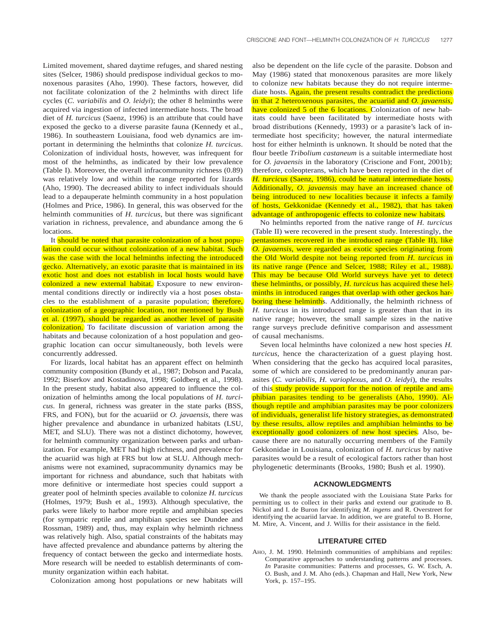Limited movement, shared daytime refuges, and shared nesting sites (Selcer, 1986) should predispose individual geckos to monoxenous parasites (Aho, 1990). These factors, however, did not facilitate colonization of the 2 helminths with direct life cycles (*C. variabilis* and *O. leidyi*); the other 8 helminths were acquired via ingestion of infected intermediate hosts. The broad diet of *H. turcicus* (Saenz, 1996) is an attribute that could have exposed the gecko to a diverse parasite fauna (Kennedy et al., 1986). In southeastern Louisiana, food web dynamics are important in determining the helminths that colonize *H. turcicus*. Colonization of individual hosts, however, was infrequent for most of the helminths, as indicated by their low prevalence (Table I). Moreover, the overall infracommunity richness (0.89) was relatively low and within the range reported for lizards (Aho, 1990). The decreased ability to infect individuals should lead to a depauperate helminth community in a host population (Holmes and Price, 1986). In general, this was observed for the helminth communities of *H. turcicus*, but there was significant variation in richness, prevalence, and abundance among the 6 locations.

It should be noted that parasite colonization of a host population could occur without colonization of a new habitat. Such was the case with the local helminths infecting the introduced gecko. Alternatively, an exotic parasite that is maintained in its exotic host and does not establish in local hosts would have colonized a new external habitat. Exposure to new environmental conditions directly or indirectly via a host poses obstacles to the establishment of a parasite population; therefore, colonization of a geographic location, not mentioned by Bush et al. (1997), should be regarded as another level of parasite colonization. To facilitate discussion of variation among the habitats and because colonization of a host population and geographic location can occur simultaneously, both levels were concurrently addressed.

For lizards, local habitat has an apparent effect on helminth community composition (Bundy et al., 1987; Dobson and Pacala, 1992; Biserkov and Kostadinova, 1998; Goldberg et al., 1998). In the present study, habitat also appeared to influence the colonization of helminths among the local populations of *H. turcicus*. In general, richness was greater in the state parks (BSS, FRS, and FON), but for the acuariid or *O. javaensis*, there was higher prevalence and abundance in urbanized habitats (LSU, MET, and SLU). There was not a distinct dichotomy, however, for helminth community organization between parks and urbanization. For example, MET had high richness, and prevalence for the acuariid was high at FRS but low at SLU. Although mechanisms were not examined, supracommunity dynamics may be important for richness and abundance, such that habitats with more definitive or intermediate host species could support a greater pool of helminth species available to colonize *H. turcicus* (Holmes, 1979; Bush et al., 1993). Although speculative, the parks were likely to harbor more reptile and amphibian species (for sympatric reptile and amphibian species see Dundee and Rossman, 1989) and, thus, may explain why helminth richness was relatively high. Also, spatial constraints of the habitats may have affected prevalence and abundance patterns by altering the frequency of contact between the gecko and intermediate hosts. More research will be needed to establish determinants of community organization within each habitat.

Colonization among host populations or new habitats will

also be dependent on the life cycle of the parasite. Dobson and May (1986) stated that monoxenous parasites are more likely to colonize new habitats because they do not require intermediate hosts. Again, the present results contradict the predictions in that 2 heteroxenous parasites, the acuariid and *O. javaensis*, have colonized 5 of the 6 locations. Colonization of new habitats could have been facilitated by intermediate hosts with broad distributions (Kennedy, 1993) or a parasite's lack of intermediate host specificity; however, the natural intermediate host for either helminth is unknown. It should be noted that the flour beetle *Tribolium castaneum* is a suitable intermediate host for *O. javaensis* in the laboratory (Criscione and Font, 2001b); therefore, coleopterans, which have been reported in the diet of *H. turcicus* (Saenz, 1986), could be natural intermediate hosts. Additionally, *O. javaensis* may have an increased chance of being introduced to new localities because it infects a family of hosts, Gekkonidae (Kennedy et al., 1982), that has taken advantage of anthropogenic effects to colonize new habitats.

No helminths reported from the native range of *H. turcicus* (Table II) were recovered in the present study. Interestingly, the pentastomes recovered in the introduced range (Table II), like *O. javaensis*, were regarded as exotic species originating from the Old World despite not being reported from *H. turcicus* in its native range (Pence and Selcer, 1988; Riley et al., 1988). This may be because Old World surveys have yet to detect these helminths, or possibly, *H. turcicus* has acquired these helminths in introduced ranges that overlap with other geckos harboring these helminths. Additionally, the helminth richness of *H. turcicus* in its introduced range is greater than that in its native range; however, the small sample sizes in the native range surveys preclude definitive comparison and assessment of causal mechanisms.

Seven local helminths have colonized a new host species *H. turcicus*, hence the characterization of a guest playing host. When considering that the gecko has acquired local parasites, some of which are considered to be predominantly anuran parasites (*C. variabilis*, *H. varioplexus*, and *O. leidyi*), the results of this study provide support for the notion of reptile and amphibian parasites tending to be generalists (Aho, 1990). Although reptile and amphibian parasites may be poor colonizers of individuals, generalist life history strategies, as demonstrated by these results, allow reptiles and amphibian helminths to be exceptionally good colonizers of new host species. Also, because there are no naturally occurring members of the Family Gekkonidae in Louisiana, colonization of *H. turcicus* by native parasites would be a result of ecological factors rather than host phylogenetic determinants (Brooks, 1980; Bush et al. 1990).

## **ACKNOWLEDGMENTS**

We thank the people associated with the Louisiana State Parks for permitting us to collect in their parks and extend our gratitude to B. Nickol and I. de Buron for identifying *M. ingens* and R. Overstreet for identifying the acuariid larvae. In addition, we are grateful to B. Horne, M. Mire, A. Vincent, and J. Willis for their assistance in the field.

## **LITERATURE CITED**

AHO, J. M. 1990. Helminth communities of amphibians and reptiles: Comparative approaches to understanding patterns and processes. *In* Parasite communities: Patterns and processes, G. W. Esch, A. O. Bush, and J. M. Aho (eds.). Chapman and Hall, New York, New York, p. 157–195.